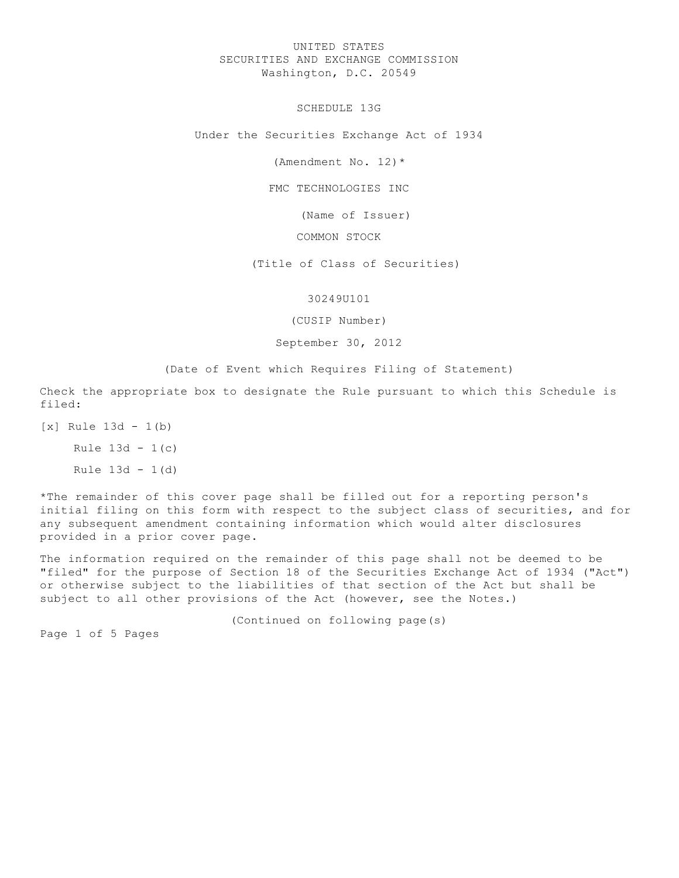# UNITED STATES SECURITIES AND EXCHANGE COMMISSION Washington, D.C. 20549

SCHEDULE 13G

Under the Securities Exchange Act of 1934

(Amendment No. 12)\*

FMC TECHNOLOGIES INC

(Name of Issuer)

COMMON STOCK

(Title of Class of Securities)

# 30249U101

(CUSIP Number)

## September 30, 2012

(Date of Event which Requires Filing of Statement)

Check the appropriate box to designate the Rule pursuant to which this Schedule is filed:

[x] Rule 13d - 1(b)

Rule  $13d - 1(c)$ 

Rule  $13d - 1(d)$ 

\*The remainder of this cover page shall be filled out for a reporting person's initial filing on this form with respect to the subject class of securities, and for any subsequent amendment containing information which would alter disclosures provided in a prior cover page.

The information required on the remainder of this page shall not be deemed to be "filed" for the purpose of Section 18 of the Securities Exchange Act of 1934 ("Act") or otherwise subject to the liabilities of that section of the Act but shall be subject to all other provisions of the Act (however, see the Notes.)

(Continued on following page(s)

Page 1 of 5 Pages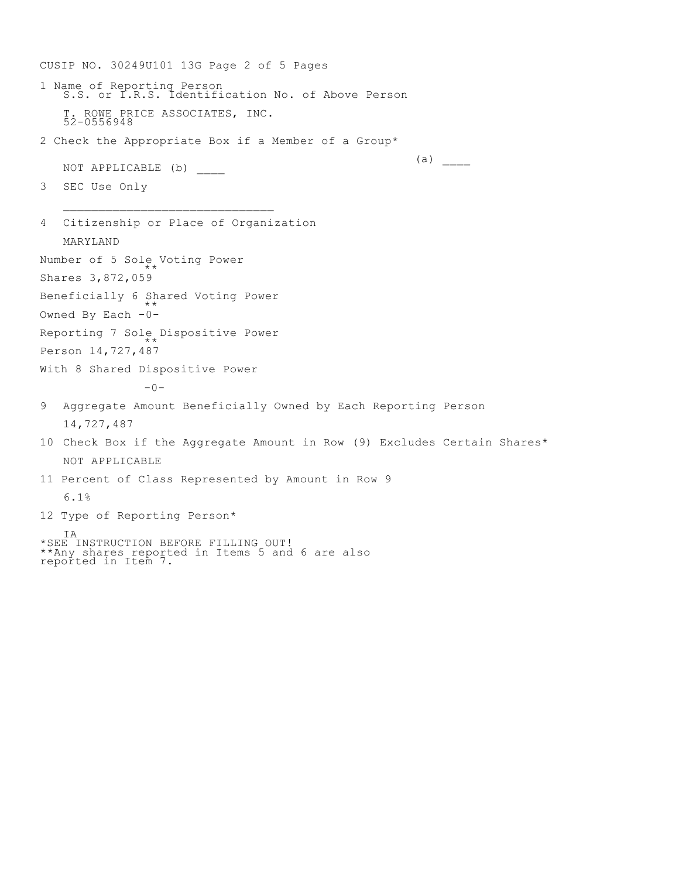CUSIP NO. 30249U101 13G Page 2 of 5 Pages 1 Name of Reporting Person S.S. or I.R.S. Identification No. of Above Person T. ROWE PRICE ASSOCIATES, INC. 52-0556948 2 Check the Appropriate Box if a Member of a Group\*  $(a)$ NOT APPLICABLE (b) 3 SEC Use Only  $\mathcal{L}_\text{max}$ 4 Citizenship or Place of Organization MARYLAND Number of 5 Sole Voting Power \*\* Shares 3,872,059 Beneficially 6 Shared Voting Power \*\* Owned By Each -0- Reporting 7 Sole Dispositive Power  $* *$ Person 14,727,487 With 8 Shared Dispositive Power  $-0-$ 9 Aggregate Amount Beneficially Owned by Each Reporting Person 14,727,487 10 Check Box if the Aggregate Amount in Row (9) Excludes Certain Shares\* NOT APPLICABLE 11 Percent of Class Represented by Amount in Row 9 6.1% 12 Type of Reporting Person\* IA \*SEE INSTRUCTION BEFORE FILLING OUT! \*\*Any shares reported in Items 5 and 6 are also reported in Item 7.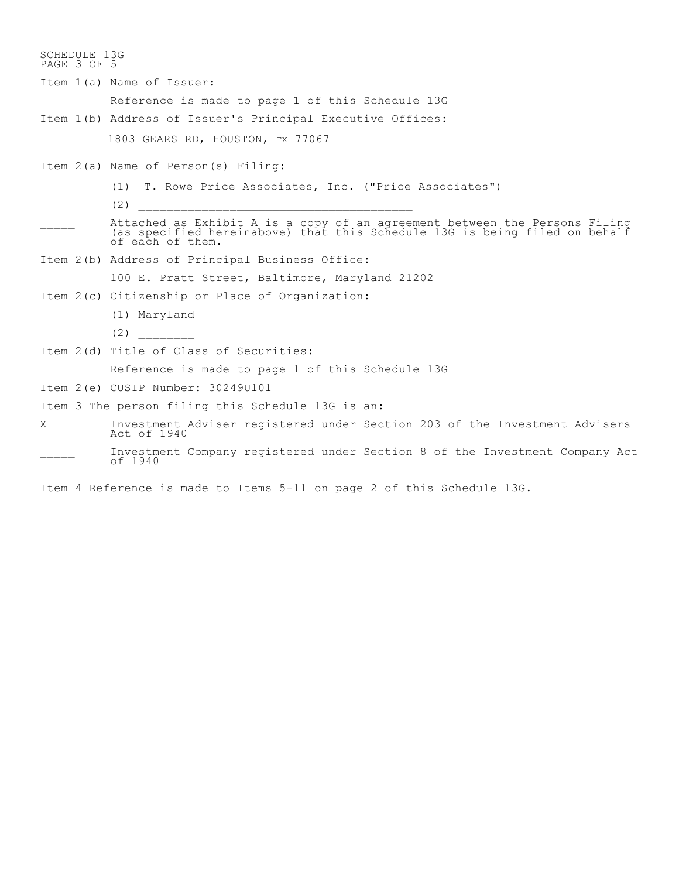SCHEDULE 13G PAGE 3 OF 5 Item 1(a) Name of Issuer: Reference is made to page 1 of this Schedule 13G Item 1(b) Address of Issuer's Principal Executive Offices: 1803 GEARS RD, HOUSTON, TX 77067 Item 2(a) Name of Person(s) Filing: (1) T. Rowe Price Associates, Inc. ("Price Associates")  $(2)$ \_\_\_\_\_ Attached as Exhibit A is a copy of an agreement between the Persons Filing (as specified hereinabove) that this Schedule 13G is being filed on behalf of each of them. Item 2(b) Address of Principal Business Office: 100 E. Pratt Street, Baltimore, Maryland 21202 Item 2(c) Citizenship or Place of Organization: (1) Maryland  $(2)$ Item 2(d) Title of Class of Securities: Reference is made to page 1 of this Schedule 13G Item 2(e) CUSIP Number: 30249U101 Item 3 The person filing this Schedule 13G is an: X Investment Adviser registered under Section 203 of the Investment Advisers Act of 1940 Investment Company registered under Section 8 of the Investment Company Act of 1940

Item 4 Reference is made to Items 5-11 on page 2 of this Schedule 13G.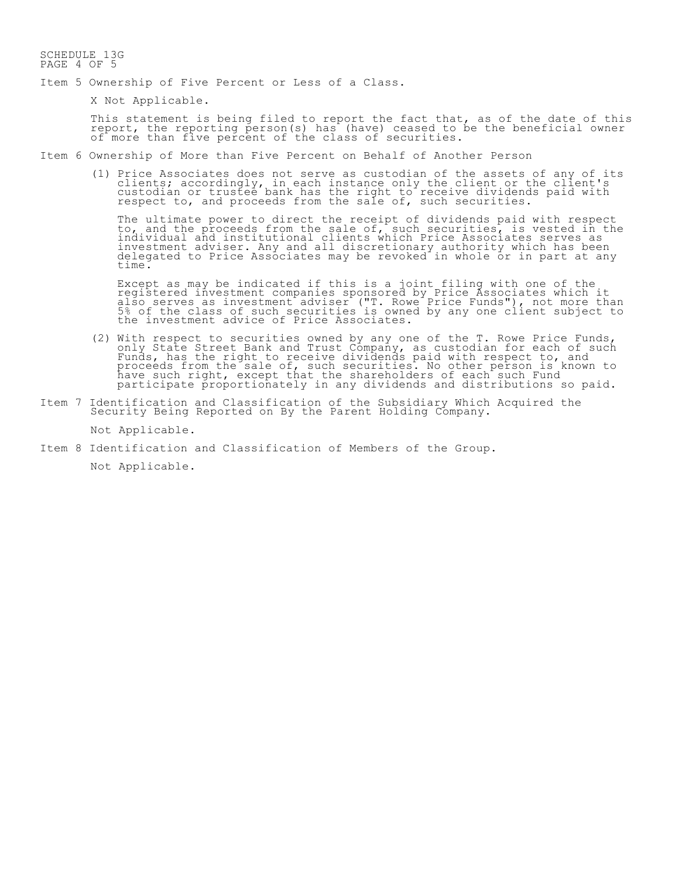#### SCHEDULE 13G PAGE 4 OF 5

- Item 5 Ownership of Five Percent or Less of a Class.
	- X Not Applicable.

This statement is being filed to report the fact that, as of the date of this report, the reporting person(s) has (have) ceased to be the beneficial owner of more than five percent of the class of securities.

Item 6 Ownership of More than Five Percent on Behalf of Another Person

(1) Price Associates does not serve as custodian of the assets of any of its clients; accordingly, in each instance only the client or the client's custodian or trustee bank has the right to receive dividends paid with respect to, and proceeds from the sale of, such securities.

The ultimate power to direct the receipt of dividends paid with respect to, and the proceeds from the sale of, such securities, is vested in the individual and institutional clients which Price Associates serves as investment adviser. Any and all discretionary authority which has been delegated to Price Associates may be revoked in whole or in part at any time.

Except as may be indicated if this is a joint filing with one of the registered investment companies sponsored by Price Associates which it also serves as investment adviser ("T. Rowe Price Funds"), not more than 5% of the class of such securities is owned by any one client subject to the investment advice of Price Associates.

- (2) With respect to securities owned by any one of the T. Rowe Price Funds, only State Street Bank and Trust Company, as custodian for each of such Funds, has the right to receive dividends paid with respect to, and proceeds from the sale of, such securities. No other person is known to have such right, except that the shareholders of each such Fund participate proportionately in any dividends and distributions so paid.
- Item 7 Identification and Classification of the Subsidiary Which Acquired the Security Being Reported on By the Parent Holding Company.

Not Applicable.

Item 8 Identification and Classification of Members of the Group.

Not Applicable.